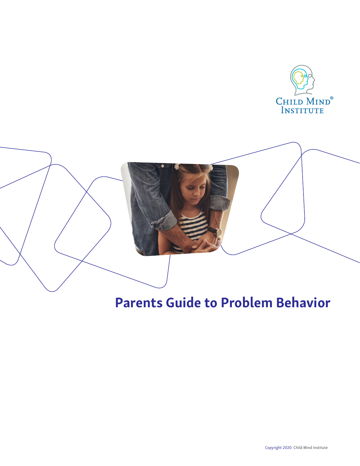

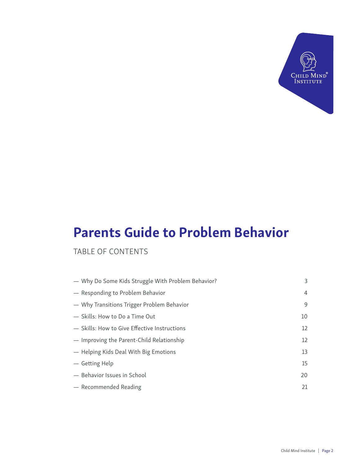

## TABLE OF CONTENTS

| - Why Do Some Kids Struggle With Problem Behavior? | 3              |
|----------------------------------------------------|----------------|
| - Responding to Problem Behavior                   | $\overline{4}$ |
| - Why Transitions Trigger Problem Behavior         | 9              |
| - Skills: How to Do a Time Out                     | 10             |
| - Skills: How to Give Effective Instructions       | 12             |
| - Improving the Parent-Child Relationship          | 12             |
| - Helping Kids Deal With Big Emotions              | 13             |
| — Getting Help                                     | 15             |
| - Behavior Issues in School                        | 20             |
| - Recommended Reading                              | 21             |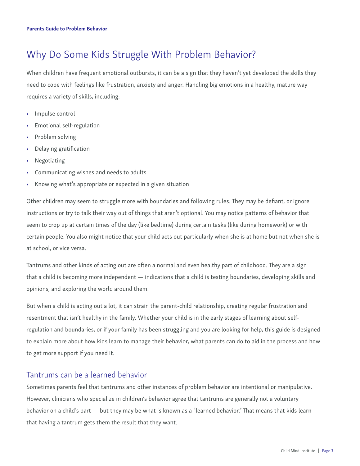## Why Do Some Kids Struggle With Problem Behavior?

When children have frequent emotional outbursts, it can be a sign that they haven't yet developed the skills they need to cope with feelings like frustration, anxiety and anger. Handling big emotions in a healthy, mature way requires a variety of skills, including:

- Impulse control
- Emotional self-regulation
- Problem solving
- Delaying gratification
- **Negotiating**
- Communicating wishes and needs to adults
- Knowing what's appropriate or expected in a given situation

Other children may seem to struggle more with boundaries and following rules. They may be defiant, or ignore instructions or try to talk their way out of things that aren't optional. You may notice patterns of behavior that seem to crop up at certain times of the day (like bedtime) during certain tasks (like during homework) or with certain people. You also might notice that your child acts out particularly when she is at home but not when she is at school, or vice versa.

Tantrums and other kinds of acting out are often a normal and even healthy part of childhood. They are a sign that a child is becoming more independent — indications that a child is testing boundaries, developing skills and opinions, and exploring the world around them.

But when a child is acting out a lot, it can strain the parent-child relationship, creating regular frustration and resentment that isn't healthy in the family. Whether your child is in the early stages of learning about selfregulation and boundaries, or if your family has been struggling and you are looking for help, this guide is designed to explain more about how kids learn to manage their behavior, what parents can do to aid in the process and how to get more support if you need it.

### Tantrums can be a learned behavior

Sometimes parents feel that tantrums and other instances of problem behavior are intentional or manipulative. However, clinicians who specialize in children's behavior agree that tantrums are generally not a voluntary behavior on a child's part — but they may be what is known as a "learned behavior." That means that kids learn that having a tantrum gets them the result that they want.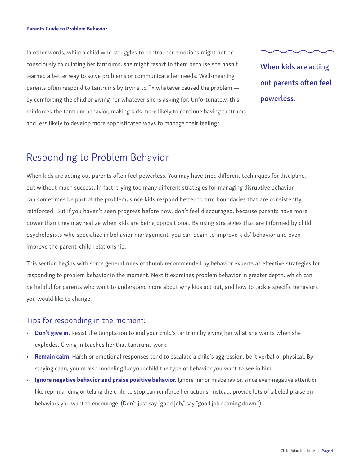In other words, while a child who struggles to control her emotions might not be consciously calculating her tantrums, she might resort to them because she hasn't learned a better way to solve problems or communicate her needs. Well-meaning parents often respond to tantrums by trying to fix whatever caused the problem by comforting the child or giving her whatever she is asking for. Unfortunately, this reinforces the tantrum behavior, making kids more likely to continue having tantrums and less likely to develop more sophisticated ways to manage their feelings.

When kids are acting out parents often feel powerless.

## Responding to Problem Behavior

When kids are acting out parents often feel powerless. You may have tried different techniques for discipline, but without much success. In fact, trying too many different strategies for managing disruptive behavior can sometimes be part of the problem, since kids respond better to firm boundaries that are consistently reinforced. But if you haven't seen progress before now, don't feel discouraged, because parents have more power than they may realize when kids are being oppositional. By using strategies that are informed by child psychologists who specialize in behavior management, you can begin to improve kids' behavior and even improve the parent-child relationship.

This section begins with some general rules of thumb recommended by behavior experts as effective strategies for responding to problem behavior in the moment. Next it examines problem behavior in greater depth, which can be helpful for parents who want to understand more about why kids act out, and how to tackle specific behaviors you would like to change.

### Tips for responding in the moment:

- Don't give in. Resist the temptation to end your child's tantrum by giving her what she wants when she explodes. Giving in teaches her that tantrums work.
- Remain calm. Harsh or emotional responses tend to escalate a child's aggression, be it verbal or physical. By staying calm, you're also modeling for your child the type of behavior you want to see in him.
- Ignore negative behavior and praise positive behavior. Ignore minor misbehavior, since even negative attention like reprimanding or telling the child to stop can reinforce her actions. Instead, provide lots of labeled praise on behaviors you want to encourage. (Don't just say "good job," say "good job calming down.")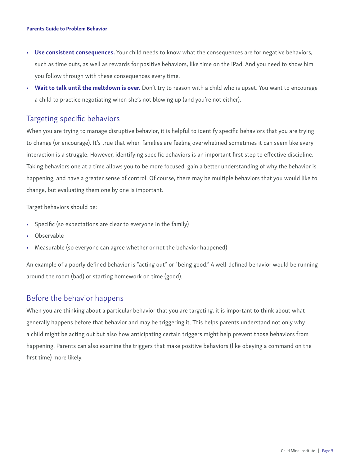- Use consistent consequences. Your child needs to know what the consequences are for negative behaviors, such as time outs, as well as rewards for positive behaviors, like time on the iPad. And you need to show him you follow through with these consequences every time.
- Wait to talk until the meltdown is over. Don't try to reason with a child who is upset. You want to encourage a child to practice negotiating when she's not blowing up (and you're not either).

### Targeting specific behaviors

When you are trying to manage disruptive behavior, it is helpful to identify specific behaviors that you are trying to change (or encourage). It's true that when families are feeling overwhelmed sometimes it can seem like every interaction is a struggle. However, identifying specific behaviors is an important first step to effective discipline. Taking behaviors one at a time allows you to be more focused, gain a better understanding of why the behavior is happening, and have a greater sense of control. Of course, there may be multiple behaviors that you would like to change, but evaluating them one by one is important.

Target behaviors should be:

- Specific (so expectations are clear to everyone in the family)
- Observable
- Measurable (so everyone can agree whether or not the behavior happened)

An example of a poorly defined behavior is "acting out" or "being good." A well-defined behavior would be running around the room (bad) or starting homework on time (good).

### Before the behavior happens

When you are thinking about a particular behavior that you are targeting, it is important to think about what generally happens before that behavior and may be triggering it. This helps parents understand not only why a child might be acting out but also how anticipating certain triggers might help prevent those behaviors from happening. Parents can also examine the triggers that make positive behaviors (like obeying a command on the first time) more likely.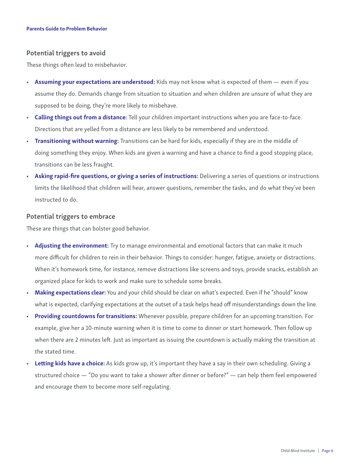#### Potential triggers to avoid

These things often lead to misbehavior.

- Assuming your expectations are understood: Kids may not know what is expected of them even if you assume they do. Demands change from situation to situation and when children are unsure of what they are supposed to be doing, they're more likely to misbehave.
- Calling things out from a distance: Tell your children important instructions when you are face-to-face. Directions that are yelled from a distance are less likely to be remembered and understood.
- Transitioning without warning: Transitions can be hard for kids, especially if they are in the middle of doing something they enjoy. When kids are given a warning and have a chance to find a good stopping place, transitions can be less fraught.
- Asking rapid-fire questions, or giving a series of instructions: Delivering a series of questions or instructions limits the likelihood that children will hear, answer questions, remember the tasks, and do what they've been instructed to do.

#### Potential triggers to embrace

These are things that can bolster good behavior.

- Adjusting the environment: Try to manage environmental and emotional factors that can make it much more difficult for children to rein in their behavior. Things to consider: hunger, fatigue, anxiety or distractions. When it's homework time, for instance, remove distractions like screens and toys, provide snacks, establish an organized place for kids to work and make sure to schedule some breaks.
- Making expectations clear: You and your child should be clear on what's expected. Even if he "should" know what is expected, clarifying expectations at the outset of a task helps head off misunderstandings down the line.
- Providing countdowns for transitions: Whenever possible, prepare children for an upcoming transition. For example, give her a 10-minute warning when it is time to come to dinner or start homework. Then follow up when there are 2 minutes left. Just as important as issuing the countdown is actually making the transition at the stated time.
- Letting kids have a choice: As kids grow up, it's important they have a say in their own scheduling. Giving a structured choice — "Do you want to take a shower after dinner or before?" — can help them feel empowered and encourage them to become more self-regulating.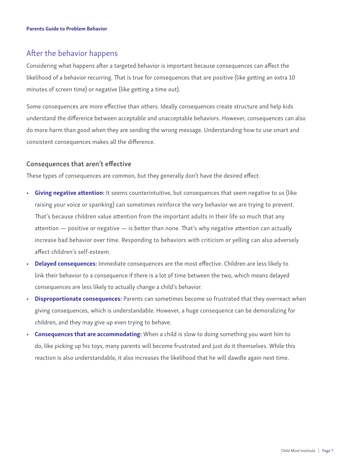### After the behavior happens

Considering what happens after a targeted behavior is important because consequences can affect the likelihood of a behavior recurring. That is true for consequences that are positive (like getting an extra 10 minutes of screen time) or negative (like getting a time out).

Some consequences are more effective than others. Ideally consequences create structure and help kids understand the difference between acceptable and unacceptable behaviors. However, consequences can also do more harm than good when they are sending the wrong message. Understanding how to use smart and consistent consequences makes all the difference.

### Consequences that aren't effective

These types of consequences are common, but they generally don't have the desired effect.

- Giving negative attention: It seems counterintuitive, but consequences that seem negative to us (like raising your voice or spanking) can sometimes reinforce the very behavior we are trying to prevent. That's because children value attention from the important adults in their life so much that any attention — positive or negative — is better than none. That's why negative attention can actually increase bad behavior over time. Responding to behaviors with criticism or yelling can also adversely affect children's self-esteem.
- Delayed consequences: Immediate consequences are the most effective. Children are less likely to link their behavior to a consequence if there is a lot of time between the two, which means delayed consequences are less likely to actually change a child's behavior.
- Disproportionate consequences: Parents can sometimes become so frustrated that they overreact when giving consequences, which is understandable. However, a huge consequence can be demoralizing for children, and they may give up even trying to behave.
- **Consequences that are accommodating:** When a child is slow to doing something you want him to do, like picking up his toys, many parents will become frustrated and just do it themselves. While this reaction is also understandable, it also increases the likelihood that he will dawdle again next time.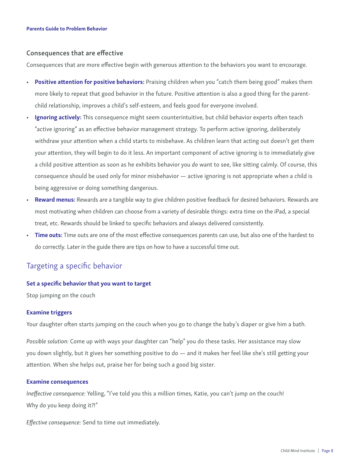#### Consequences that are effective

Consequences that are more effective begin with generous attention to the behaviors you want to encourage.

- Positive attention for positive behaviors: Praising children when you "catch them being good" makes them more likely to repeat that good behavior in the future. Positive attention is also a good thing for the parentchild relationship, improves a child's self-esteem, and feels good for everyone involved.
- Ignoring actively: This consequence might seem counterintuitive, but child behavior experts often teach "active ignoring" as an effective behavior management strategy. To perform active ignoring, deliberately withdraw your attention when a child starts to misbehave. As children learn that acting out doesn't get them your attention, they will begin to do it less. An important component of active ignoring is to immediately give a child positive attention as soon as he exhibits behavior you *do* want to see, like sitting calmly. Of course, this consequence should be used only for minor misbehavior — active ignoring is not appropriate when a child is being aggressive or doing something dangerous.
- Reward menus: Rewards are a tangible way to give children positive feedback for desired behaviors. Rewards are most motivating when children can choose from a variety of desirable things: extra time on the iPad, a special treat, etc. Rewards should be linked to specific behaviors and always delivered consistently.
- Time outs: Time outs are one of the most effective consequences parents can use, but also one of the hardest to do correctly. Later in the guide there are tips on how to have a successful time out.

## Targeting a specific behavior

#### Set a specific behavior that you want to target

Stop jumping on the couch

#### Examine triggers

Your daughter often starts jumping on the couch when you go to change the baby's diaper or give him a bath.

*Possible solution:* Come up with ways your daughter can "help" you do these tasks. Her assistance may slow you down slightly, but it gives her something positive to do — and it makes her feel like she's still getting your attention. When she helps out, praise her for being such a good big sister.

#### Examine consequences

*Ineffective consequence:* Yelling, "I've told you this a million times, Katie, you can't jump on the couch! Why do you keep doing it?!"

*Effective consequence:* Send to time out immediately.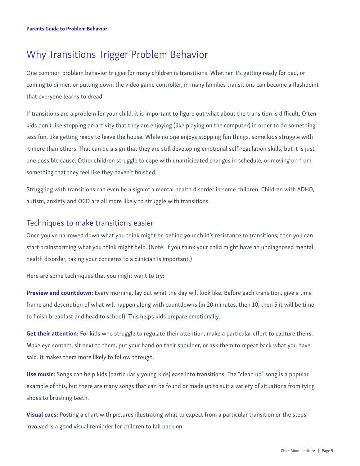## Why Transitions Trigger Problem Behavior

One common problem behavior trigger for many children is transitions. Whether it's getting ready for bed, or coming to dinner, or putting down the video game controller, in many families transitions can become a flashpoint that everyone learns to dread.

If transitions are a problem for your child, it is important to figure out what about the transition is difficult. Often kids don't like stopping an activity that they are enjoying (like playing on the computer) in order to do something less fun, like getting ready to leave the house. While no one enjoys stopping fun things, some kids struggle with it more than others. That can be a sign that they are still developing emotional self-regulation skills, but it is just one possible cause. Other children struggle to cope with unanticipated changes in schedule, or moving on from something that they feel like they haven't finished.

Struggling with transitions can even be a sign of a mental health disorder in some children. Children with ADHD, autism, anxiety and OCD are all more likely to struggle with transitions.

### Techniques to make transitions easier

Once you've narrowed down what you think might be behind your child's resistance to transitions, then you can start brainstorming what you think might help. (Note: If you think your child might have an undiagnosed mental health disorder, taking your concerns to a clinician is important.)

Here are some techniques that you might want to try:

Preview and countdown: Every morning, lay out what the day will look like. Before each transition, give a time frame and description of what will happen along with countdowns (in 20 minutes, then 10, then 5 it will be time to finish breakfast and head to school). This helps kids prepare emotionally.

Get their attention: For kids who struggle to regulate their attention, make a particular effort to capture theirs. Make eye contact, sit next to them, put your hand on their shoulder, or ask them to repeat back what you have said. It makes them more likely to follow through.

Use music: Songs can help kids (particularly young kids) ease into transitions. The "clean up" song is a popular example of this, but there are many songs that can be found or made up to suit a variety of situations from tying shoes to brushing teeth.

Visual cues: Posting a chart with pictures illustrating what to expect from a particular transition or the steps involved is a good visual reminder for children to fall back on.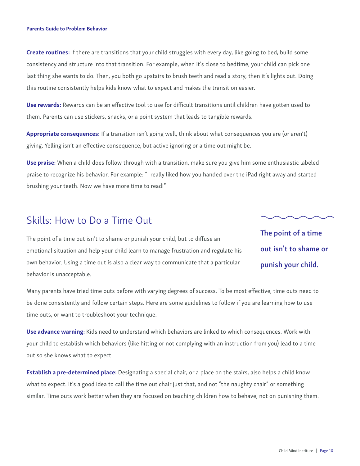Create routines: If there are transitions that your child struggles with every day, like going to bed, build some consistency and structure into that transition. For example, when it's close to bedtime, your child can pick one last thing she wants to do. Then, you both go upstairs to brush teeth and read a story, then it's lights out. Doing this routine consistently helps kids know what to expect and makes the transition easier.

Use rewards: Rewards can be an effective tool to use for difficult transitions until children have gotten used to them. Parents can use stickers, snacks, or a point system that leads to tangible rewards.

Appropriate consequences: If a transition isn't going well, think about what consequences you are (or aren't) giving. Yelling isn't an effective consequence, but active ignoring or a time out might be.

Use praise: When a child does follow through with a transition, make sure you give him some enthusiastic labeled praise to recognize his behavior. For example: "I really liked how you handed over the iPad right away and started brushing your teeth. Now we have more time to read!"

## Skills: How to Do a Time Out

The point of a time out isn't to shame or punish your child, but to diffuse an emotional situation and help your child learn to manage frustration and regulate his own behavior. Using a time out is also a clear way to communicate that a particular behavior is unacceptable.

The point of a time out isn't to shame or punish your child.

Many parents have tried time outs before with varying degrees of success. To be most effective, time outs need to be done consistently and follow certain steps. Here are some guidelines to follow if you are learning how to use time outs, or want to troubleshoot your technique.

Use advance warning: Kids need to understand which behaviors are linked to which consequences. Work with your child to establish which behaviors (like hitting or not complying with an instruction from you) lead to a time out so she knows what to expect.

**Establish a pre-determined place:** Designating a special chair, or a place on the stairs, also helps a child know what to expect. It's a good idea to call the time out chair just that, and not "the naughty chair" or something similar. Time outs work better when they are focused on teaching children how to behave, not on punishing them.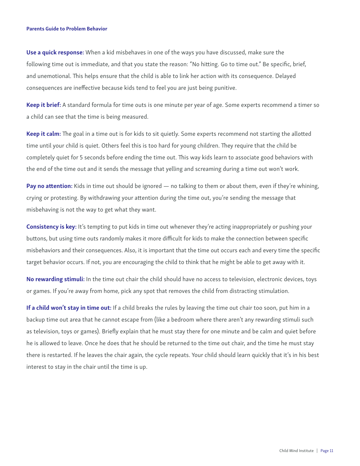Use a quick response: When a kid misbehaves in one of the ways you have discussed, make sure the following time out is immediate, and that you state the reason: "No hitting. Go to time out." Be specific, brief, and unemotional. This helps ensure that the child is able to link her action with its consequence. Delayed consequences are ineffective because kids tend to feel you are just being punitive.

Keep it brief: A standard formula for time outs is one minute per year of age. Some experts recommend a timer so a child can see that the time is being measured.

Keep it calm: The goal in a time out is for kids to sit quietly. Some experts recommend not starting the allotted time until your child is quiet. Others feel this is too hard for young children. They require that the child be completely quiet for 5 seconds before ending the time out. This way kids learn to associate good behaviors with the end of the time out and it sends the message that yelling and screaming during a time out won't work.

Pay no attention: Kids in time out should be ignored — no talking to them or about them, even if they're whining, crying or protesting. By withdrawing your attention during the time out, you're sending the message that misbehaving is not the way to get what they want.

**Consistency is key:** It's tempting to put kids in time out whenever they're acting inappropriately or pushing your buttons, but using time outs randomly makes it more difficult for kids to make the connection between specific misbehaviors and their consequences. Also, it is important that the time out occurs each and every time the specific target behavior occurs. If not, you are encouraging the child to think that he might be able to get away with it.

No rewarding stimuli: In the time out chair the child should have no access to television, electronic devices, toys or games. If you're away from home, pick any spot that removes the child from distracting stimulation.

If a child won't stay in time out: If a child breaks the rules by leaving the time out chair too soon, put him in a backup time out area that he cannot escape from (like a bedroom where there aren't any rewarding stimuli such as television, toys or games). Briefly explain that he must stay there for one minute and be calm and quiet before he is allowed to leave. Once he does that he should be returned to the time out chair, and the time he must stay there is restarted. If he leaves the chair again, the cycle repeats. Your child should learn quickly that it's in his best interest to stay in the chair until the time is up.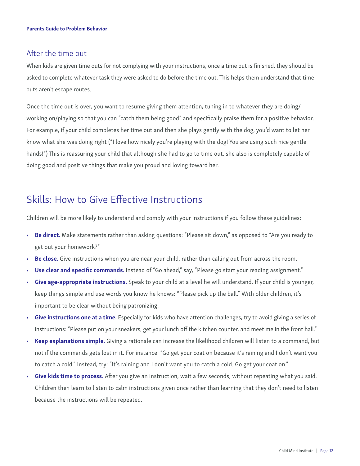### After the time out

When kids are given time outs for not complying with your instructions, once a time out is finished, they should be asked to complete whatever task they were asked to do before the time out. This helps them understand that time outs aren't escape routes.

Once the time out is over, you want to resume giving them attention, tuning in to whatever they are doing/ working on/playing so that you can "catch them being good" and specifically praise them for a positive behavior. For example, if your child completes her time out and then she plays gently with the dog, you'd want to let her know what she was doing right ("I love how nicely you're playing with the dog! You are using such nice gentle hands!") This is reassuring your child that although she had to go to time out, she also is completely capable of doing good and positive things that make you proud and loving toward her.

## Skills: How to Give Effective Instructions

Children will be more likely to understand and comply with your instructions if you follow these guidelines:

- Be direct. Make statements rather than asking questions: "Please sit down," as opposed to "Are you ready to get out your homework?"
- Be close. Give instructions when you are near your child, rather than calling out from across the room.
- Use clear and specific commands. Instead of "Go ahead," say, "Please go start your reading assignment."
- Give age-appropriate instructions. Speak to your child at a level he will understand. If your child is younger, keep things simple and use words you know he knows: "Please pick up the ball." With older children, it's important to be clear without being patronizing.
- Give instructions one at a time. Especially for kids who have attention challenges, try to avoid giving a series of instructions: "Please put on your sneakers, get your lunch off the kitchen counter, and meet me in the front hall."
- Keep explanations simple. Giving a rationale can increase the likelihood children will listen to a command, but not if the commands gets lost in it. For instance: "Go get your coat on because it's raining and I don't want you to catch a cold." Instead, try: "It's raining and I don't want you to catch a cold. Go get your coat on."
- Give kids time to process. After you give an instruction, wait a few seconds, without repeating what you said. Children then learn to listen to calm instructions given once rather than learning that they don't need to listen because the instructions will be repeated.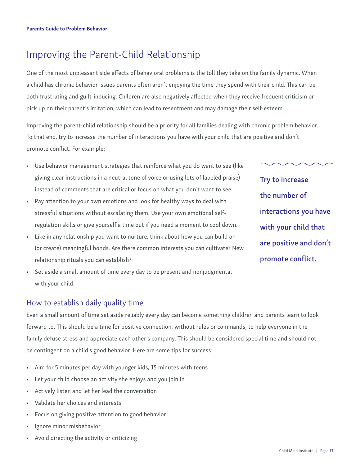## Improving the Parent-Child Relationship

One of the most unpleasant side effects of behavioral problems is the toll they take on the family dynamic. When a child has chronic behavior issues parents often aren't enjoying the time they spend with their child. This can be both frustrating and guilt-inducing. Children are also negatively affected when they receive frequent criticism or pick up on their parent's irritation, which can lead to resentment and may damage their self-esteem.

Improving the parent-child relationship should be a priority for all families dealing with chronic problem behavior. To that end, try to increase the number of interactions you have with your child that are positive and don't promote conflict. For example:

- Use behavior management strategies that reinforce what you do want to see (like giving clear instructions in a neutral tone of voice or using lots of labeled praise) instead of comments that are critical or focus on what you don't want to see.
- Pay attention to your own emotions and look for healthy ways to deal with stressful situations without escalating them. Use your own emotional selfregulation skills or give yourself a time out if you need a moment to cool down.
- Like in any relationship you want to nurture, think about how you can build on (or create) meaningful bonds. Are there common interests you can cultivate? New relationship rituals you can establish?

Try to increase the number of interactions you have with your child that are positive and don't promote conflict.

Set aside a small amount of time every day to be present and nonjudgmental with your child.

## How to establish daily quality time

Even a small amount of time set aside reliably every day can become something children and parents learn to look forward to. This should be a time for positive connection, without rules or commands, to help everyone in the family defuse stress and appreciate each other's company. This should be considered special time and should not be contingent on a child's good behavior. Here are some tips for success:

- Aim for 5 minutes per day with younger kids, 15 minutes with teens
- Let your child choose an activity she enjoys and you join in
- Actively listen and let her lead the conversation
- Validate her choices and interests
- Focus on giving positive attention to good behavior
- Ignore minor misbehavior
- Avoid directing the activity or criticizing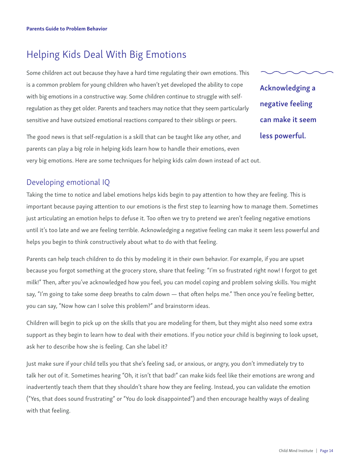## Helping Kids Deal With Big Emotions

Some children act out because they have a hard time regulating their own emotions. This is a common problem for young children who haven't yet developed the ability to cope with big emotions in a constructive way. Some children continue to struggle with selfregulation as they get older. Parents and teachers may notice that they seem particularly sensitive and have outsized emotional reactions compared to their siblings or peers.

The good news is that self-regulation is a skill that can be taught like any other, and parents can play a big role in helping kids learn how to handle their emotions, even very big emotions. Here are some techniques for helping kids calm down instead of act out.

Acknowledging a negative feeling can make it seem less powerful.

## Developing emotional IQ

Taking the time to notice and label emotions helps kids begin to pay attention to how they are feeling. This is important because paying attention to our emotions is the first step to learning how to manage them. Sometimes just articulating an emotion helps to defuse it. Too often we try to pretend we aren't feeling negative emotions until it's too late and we are feeling terrible. Acknowledging a negative feeling can make it seem less powerful and helps you begin to think constructively about what to do with that feeling.

Parents can help teach children to do this by modeling it in their own behavior. For example, if you are upset because you forgot something at the grocery store, share that feeling: "I'm so frustrated right now! I forgot to get milk!" Then, after you've acknowledged how you feel, you can model coping and problem solving skills. You might say, "I'm going to take some deep breaths to calm down — that often helps me." Then once you're feeling better, you can say, "Now how can I solve this problem?" and brainstorm ideas.

Children will begin to pick up on the skills that you are modeling for them, but they might also need some extra support as they begin to learn how to deal with their emotions. If you notice your child is beginning to look upset, ask her to describe how she is feeling. Can she label it?

Just make sure if your child tells you that she's feeling sad, or anxious, or angry, you don't immediately try to talk her out of it. Sometimes hearing "Oh, it isn't that bad!" can make kids feel like their emotions are wrong and inadvertently teach them that they shouldn't share how they are feeling. Instead, you can validate the emotion ("Yes, that does sound frustrating" or "You do look disappointed") and then encourage healthy ways of dealing with that feeling.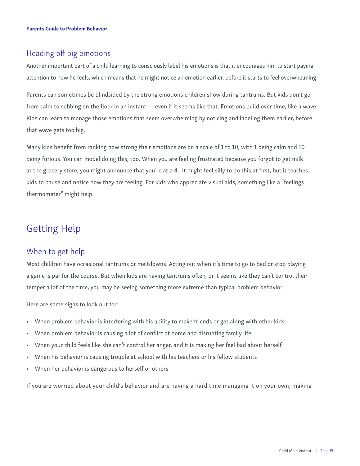## Heading off big emotions

Another important part of a child learning to consciously label his emotions is that it encourages him to start paying attention to how he feels, which means that he might notice an emotion earlier, before it starts to feel overwhelming.

Parents can sometimes be blindsided by the strong emotions children show during tantrums. But kids don't go from calm to sobbing on the floor in an instant — even if it seems like that. Emotions build over time, like a wave. Kids can learn to manage those emotions that seem overwhelming by noticing and labeling them earlier, before that wave gets too big.

Many kids benefit from ranking how strong their emotions are on a scale of 1 to 10, with 1 being calm and 10 being furious. You can model doing this, too. When you are feeling frustrated because you forgot to get milk at the grocery store, you might announce that you're at a 4. It might feel silly to do this at first, but it teaches kids to pause and notice how they are feeling. For kids who appreciate visual aids, something like a "feelings thermometer" might help.

## Getting Help

## When to get help

Most children have occasional tantrums or meltdowns. Acting out when it's time to go to bed or stop playing a game is par for the course. But when kids are having tantrums often, or it seems like they can't control their temper a lot of the time, you may be seeing something more extreme than typical problem behavior.

Here are some signs to look out for:

- When problem behavior is interfering with his ability to make friends or get along with other kids.
- When problem behavior is causing a lot of conflict at home and disrupting family life
- When your child feels like she can't control her anger, and it is making her feel bad about herself
- When his behavior is causing trouble at school with his teachers or his fellow students
- When her behavior is dangerous to herself or others

If you are worried about your child's behavior and are having a hard time managing it on your own, making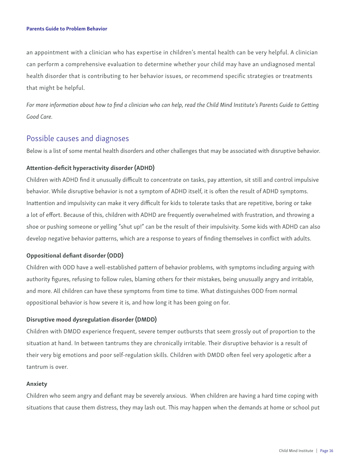an appointment with a clinician who has expertise in children's mental health can be very helpful. A clinician can perform a comprehensive evaluation to determine whether your child may have an undiagnosed mental health disorder that is contributing to her behavior issues, or recommend specific strategies or treatments that might be helpful.

*For more information about how to find a clinician who can help, read the Child Mind Institute's Parents Guide to Getting Good Care.* 

### Possible causes and diagnoses

Below is a list of some mental health disorders and other challenges that may be associated with disruptive behavior.

#### Attention-deficit hyperactivity disorder (ADHD)

Children with ADHD find it unusually difficult to concentrate on tasks, pay attention, sit still and control impulsive behavior. While disruptive behavior is not a symptom of ADHD itself, it is often the result of ADHD symptoms. Inattention and impulsivity can make it very difficult for kids to tolerate tasks that are repetitive, boring or take a lot of effort. Because of this, children with ADHD are frequently overwhelmed with frustration, and throwing a shoe or pushing someone or yelling "shut up!" can be the result of their impulsivity. Some kids with ADHD can also develop negative behavior patterns, which are a response to years of finding themselves in conflict with adults.

#### Oppositional defiant disorder (ODD)

Children with ODD have a well-established pattern of behavior problems, with symptoms including arguing with authority figures, refusing to follow rules, blaming others for their mistakes, being unusually angry and irritable, and more. All children can have these symptoms from time to time. What distinguishes ODD from normal oppositional behavior is how severe it is, and how long it has been going on for.

#### Disruptive mood dysregulation disorder (DMDD)

Children with DMDD experience frequent, severe temper outbursts that seem grossly out of proportion to the situation at hand. In between tantrums they are chronically irritable. Their disruptive behavior is a result of their very big emotions and poor self-regulation skills. Children with DMDD often feel very apologetic after a tantrum is over.

#### Anxiety

Children who seem angry and defiant may be severely anxious. When children are having a hard time coping with situations that cause them distress, they may lash out. This may happen when the demands at home or school put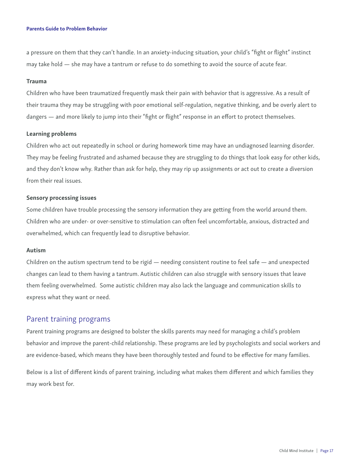a pressure on them that they can't handle. In an anxiety-inducing situation, your child's "fight or flight" instinct may take hold — she may have a tantrum or refuse to do something to avoid the source of acute fear.

#### Trauma

Children who have been traumatized frequently mask their pain with behavior that is aggressive. As a result of their trauma they may be struggling with poor emotional self-regulation, negative thinking, and be overly alert to dangers — and more likely to jump into their "fight or flight" response in an effort to protect themselves.

#### Learning problems

Children who act out repeatedly in school or during homework time may have an undiagnosed learning disorder. They may be feeling frustrated and ashamed because they are struggling to do things that look easy for other kids, and they don't know why. Rather than ask for help, they may rip up assignments or act out to create a diversion from their real issues.

#### Sensory processing issues

Some children have trouble processing the sensory information they are getting from the world around them. Children who are under- or over-sensitive to stimulation can often feel uncomfortable, anxious, distracted and overwhelmed, which can frequently lead to disruptive behavior.

#### Autism

Children on the autism spectrum tend to be rigid — needing consistent routine to feel safe — and unexpected changes can lead to them having a tantrum. Autistic children can also struggle with sensory issues that leave them feeling overwhelmed. Some autistic children may also lack the language and communication skills to express what they want or need.

#### Parent training programs

Parent training programs are designed to bolster the skills parents may need for managing a child's problem behavior and improve the parent-child relationship. These programs are led by psychologists and social workers and are evidence-based, which means they have been thoroughly tested and found to be effective for many families.

Below is a list of different kinds of parent training, including what makes them different and which families they may work best for.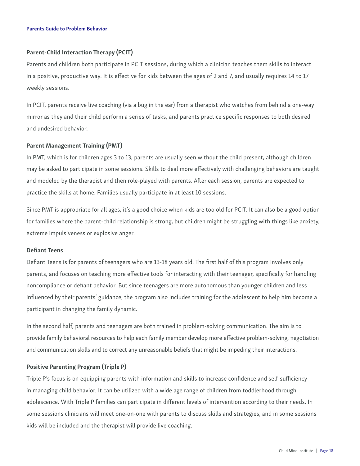#### Parent-Child Interaction Therapy (PCIT)

Parents and children both participate in PCIT sessions, during which a clinician teaches them skills to interact in a positive, productive way. It is effective for kids between the ages of 2 and 7, and usually requires 14 to 17 weekly sessions.

In PCIT, parents receive live coaching (via a bug in the ear) from a therapist who watches from behind a one-way mirror as they and their child perform a series of tasks, and parents practice specific responses to both desired and undesired behavior.

#### Parent Management Training (PMT)

In PMT, which is for children ages 3 to 13, parents are usually seen without the child present, although children may be asked to participate in some sessions. Skills to deal more effectively with challenging behaviors are taught and modeled by the therapist and then role-played with parents. After each session, parents are expected to practice the skills at home. Families usually participate in at least 10 sessions.

Since PMT is appropriate for all ages, it's a good choice when kids are too old for PCIT. It can also be a good option for families where the parent-child relationship is strong, but children might be struggling with things like anxiety, extreme impulsiveness or explosive anger.

#### Defiant Teens

Defiant Teens is for parents of teenagers who are 13-18 years old. The first half of this program involves only parents, and focuses on teaching more effective tools for interacting with their teenager, specifically for handling noncompliance or defiant behavior. But since teenagers are more autonomous than younger children and less influenced by their parents' guidance, the program also includes training for the adolescent to help him become a participant in changing the family dynamic.

In the second half, parents and teenagers are both trained in problem-solving communication. The aim is to provide family behavioral resources to help each family member develop more effective problem-solving, negotiation and communication skills and to correct any unreasonable beliefs that might be impeding their interactions.

#### Positive Parenting Program (Triple P)

Triple P's focus is on equipping parents with information and skills to increase confidence and self-sufficiency in managing child behavior. It can be utilized with a wide age range of children from toddlerhood through adolescence. With Triple P families can participate in different levels of intervention according to their needs. In some sessions clinicians will meet one-on-one with parents to discuss skills and strategies, and in some sessions kids will be included and the therapist will provide live coaching.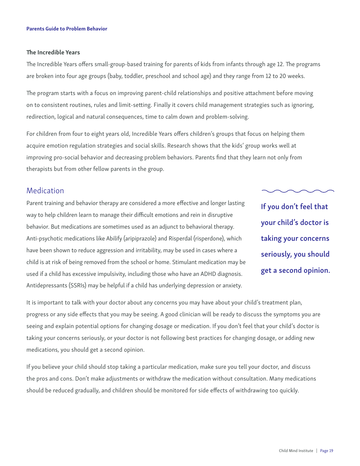#### The Incredible Years

The Incredible Years offers small-group-based training for parents of kids from infants through age 12. The programs are broken into four age groups (baby, toddler, preschool and school age) and they range from 12 to 20 weeks.

The program starts with a focus on improving parent-child relationships and positive attachment before moving on to consistent routines, rules and limit-setting. Finally it covers child management strategies such as ignoring, redirection, logical and natural consequences, time to calm down and problem-solving.

For children from four to eight years old, Incredible Years offers children's groups that focus on helping them acquire emotion regulation strategies and social skills. Research shows that the kids' group works well at improving pro-social behavior and decreasing problem behaviors. Parents find that they learn not only from therapists but from other fellow parents in the group.

### Medication

Parent training and behavior therapy are considered a more effective and longer lasting way to help children learn to manage their difficult emotions and rein in disruptive behavior. But medications are sometimes used as an adjunct to behavioral therapy. Anti-psychotic medications like Abilify (aripiprazole) and Risperdal (risperdone), which have been shown to reduce aggression and irritability, may be used in cases where a child is at risk of being removed from the school or home. Stimulant medication may be used if a child has excessive impulsivity, including those who have an ADHD diagnosis. Antidepressants (SSRIs) may be helpful if a child has underlying depression or anxiety.

If you don't feel that your child's doctor is taking your concerns seriously, you should get a second opinion.

It is important to talk with your doctor about any concerns you may have about your child's treatment plan, progress or any side effects that you may be seeing. A good clinician will be ready to discuss the symptoms you are seeing and explain potential options for changing dosage or medication. If you don't feel that your child's doctor is taking your concerns seriously, or your doctor is not following best practices for changing dosage, or adding new medications, you should get a second opinion.

If you believe your child should stop taking a particular medication, make sure you tell your doctor, and discuss the pros and cons. Don't make adjustments or withdraw the medication without consultation. Many medications should be reduced gradually, and children should be monitored for side effects of withdrawing too quickly.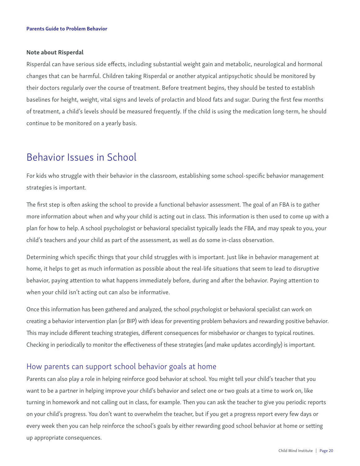#### Note about Risperdal

Risperdal can have serious side effects, including substantial weight gain and metabolic, neurological and hormonal changes that can be harmful. Children taking Risperdal or another atypical antipsychotic should be monitored by their doctors regularly over the course of treatment. Before treatment begins, they should be tested to establish baselines for height, weight, vital signs and levels of prolactin and blood fats and sugar. During the first few months of treatment, a child's levels should be measured frequently. If the child is using the medication long-term, he should continue to be monitored on a yearly basis.

## Behavior Issues in School

For kids who struggle with their behavior in the classroom, establishing some school-specific behavior management strategies is important.

The first step is often asking the school to provide a functional behavior assessment. The goal of an FBA is to gather more information about when and why your child is acting out in class. This information is then used to come up with a plan for how to help. A school psychologist or behavioral specialist typically leads the FBA, and may speak to you, your child's teachers and your child as part of the assessment, as well as do some in-class observation.

Determining which specific things that your child struggles with is important. Just like in behavior management at home, it helps to get as much information as possible about the real-life situations that seem to lead to disruptive behavior, paying attention to what happens immediately before, during and after the behavior. Paying attention to when your child isn't acting out can also be informative.

Once this information has been gathered and analyzed, the school psychologist or behavioral specialist can work on creating a behavior intervention plan (or BIP) with ideas for preventing problem behaviors and rewarding positive behavior. This may include different teaching strategies, different consequences for misbehavior or changes to typical routines. Checking in periodically to monitor the effectiveness of these strategies (and make updates accordingly) is important.

### How parents can support school behavior goals at home

Parents can also play a role in helping reinforce good behavior at school. You might tell your child's teacher that you want to be a partner in helping improve your child's behavior and select one or two goals at a time to work on, like turning in homework and not calling out in class, for example. Then you can ask the teacher to give you periodic reports on your child's progress. You don't want to overwhelm the teacher, but if you get a progress report every few days or every week then you can help reinforce the school's goals by either rewarding good school behavior at home or setting up appropriate consequences.